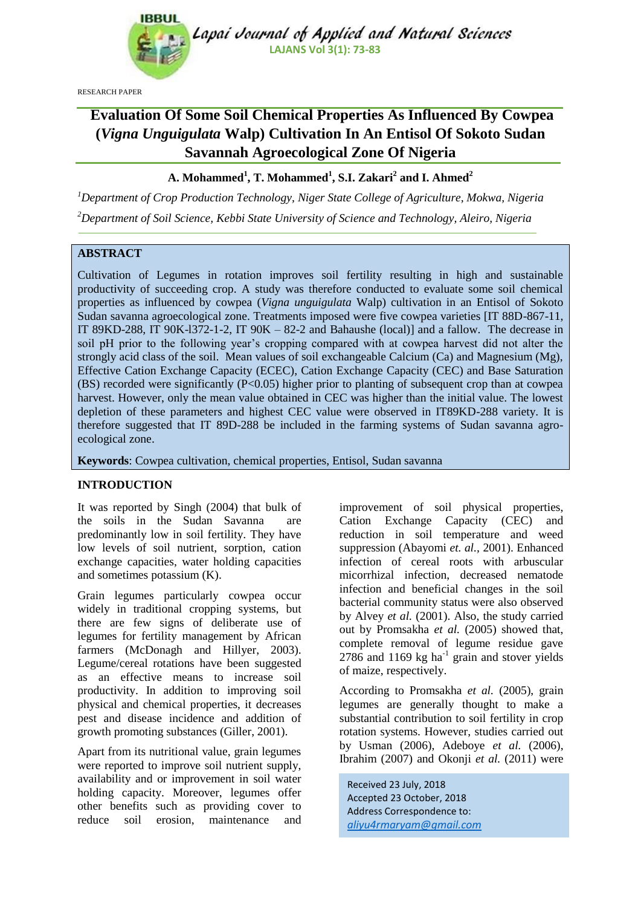

Lapai Journal of Applied and Natural Sciences **LAJANS Vol 3(1): 73-83**

RESEARCH PAPER

# **Evaluation Of Some Soil Chemical Properties As Influenced By Cowpea (***Vigna Unguigulata* **Walp) Cultivation In An Entisol Of Sokoto Sudan Savannah Agroecological Zone Of Nigeria**

# **A. Mohammed<sup>1</sup> , T. Mohammed<sup>1</sup> , S.I. Zakari<sup>2</sup> and I. Ahmed<sup>2</sup>**

*<sup>1</sup>Department of Crop Production Technology, Niger State College of Agriculture, Mokwa, Nigeria <sup>2</sup>Department of Soil Science, Kebbi State University of Science and Technology, Aleiro, Nigeria* 

## **ABSTRACT**

Cultivation of Legumes in rotation improves soil fertility resulting in high and sustainable productivity of succeeding crop. A study was therefore conducted to evaluate some soil chemical properties as influenced by cowpea (*Vigna unguigulata* Walp) cultivation in an Entisol of Sokoto Sudan savanna agroecological zone. Treatments imposed were five cowpea varieties [IT 88D-867-11, IT 89KD-288, IT 90K-l372-1-2, IT 90K – 82-2 and Bahaushe (local)] and a fallow. The decrease in soil pH prior to the following year's cropping compared with at cowpea harvest did not alter the strongly acid class of the soil. Mean values of soil exchangeable Calcium (Ca) and Magnesium (Mg), Effective Cation Exchange Capacity (ECEC), Cation Exchange Capacity (CEC) and Base Saturation (BS) recorded were significantly  $(P< 0.05)$  higher prior to planting of subsequent crop than at cowpea harvest. However, only the mean value obtained in CEC was higher than the initial value. The lowest depletion of these parameters and highest CEC value were observed in IT89KD-288 variety. It is therefore suggested that IT 89D-288 be included in the farming systems of Sudan savanna agroecological zone.

**Keywords**: Cowpea cultivation, chemical properties, Entisol, Sudan savanna

#### **INTRODUCTION**

It was reported by Singh (2004) that bulk of the soils in the Sudan Savanna are predominantly low in soil fertility. They have low levels of soil nutrient, sorption, cation exchange capacities, water holding capacities and sometimes potassium (K).

Grain legumes particularly cowpea occur widely in traditional cropping systems, but there are few signs of deliberate use of legumes for fertility management by African farmers (McDonagh and Hillyer, 2003). Legume/cereal rotations have been suggested as an effective means to increase soil productivity. In addition to improving soil physical and chemical properties, it decreases pest and disease incidence and addition of growth promoting substances (Giller, 2001).

Apart from its nutritional value, grain legumes were reported to improve soil nutrient supply, availability and or improvement in soil water holding capacity. Moreover, legumes offer other benefits such as providing cover to reduce soil erosion, maintenance and improvement of soil physical properties, Cation Exchange Capacity (CEC) and reduction in soil temperature and weed suppression (Abayomi *et. al.,* 2001). Enhanced infection of cereal roots with arbuscular micorrhizal infection, decreased nematode infection and beneficial changes in the soil bacterial community status were also observed by Alvey *et al.* (2001). Also, the study carried out by Promsakha *et al.* (2005) showed that, complete removal of legume residue gave  $2786$  and  $1169$  kg ha<sup>-1</sup> grain and stover yields of maize, respectively.

According to Promsakha *et al.* (2005), grain legumes are generally thought to make a substantial contribution to soil fertility in crop rotation systems. However, studies carried out by Usman (2006), Adeboye *et al.* (2006), Ibrahim (2007) and Okonji *et al.* (2011) were

Received 23 July, 2018 Accepted 23 October, 2018 Address Correspondence to: *aliyu4rmaryam@gmail.com*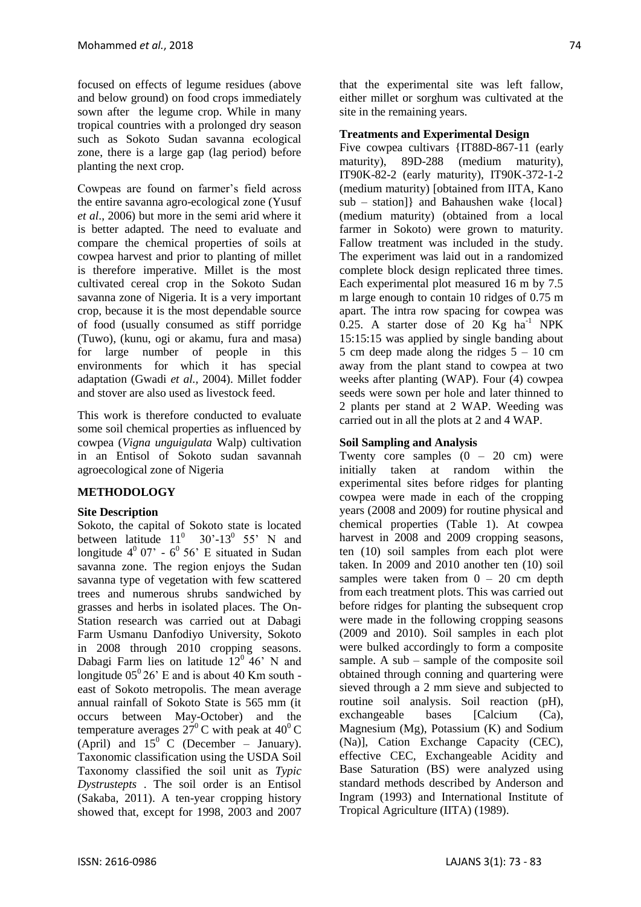focused on effects of legume residues (above and below ground) on food crops immediately sown after the legume crop. While in many tropical countries with a prolonged dry season such as Sokoto Sudan savanna ecological zone, there is a large gap (lag period) before planting the next crop.

Cowpeas are found on farmer's field across the entire savanna agro-ecological zone (Yusuf *et al*., 2006) but more in the semi arid where it is better adapted. The need to evaluate and compare the chemical properties of soils at cowpea harvest and prior to planting of millet is therefore imperative. Millet is the most cultivated cereal crop in the Sokoto Sudan savanna zone of Nigeria. It is a very important crop, because it is the most dependable source of food (usually consumed as stiff porridge (Tuwo), (kunu, ogi or akamu, fura and masa) for large number of people in this environments for which it has special adaptation (Gwadi *et al.,* 2004). Millet fodder and stover are also used as livestock feed.

This work is therefore conducted to evaluate some soil chemical properties as influenced by cowpea (*Vigna unguigulata* Walp) cultivation in an Entisol of Sokoto sudan savannah agroecological zone of Nigeria

#### **METHODOLOGY**

#### **Site Description**

Sokoto, the capital of Sokoto state is located between latitude  $11^0$  30'-13<sup>0</sup> 55' N and longitude  $4^{\circ}$  07' -  $6^{\circ}$  56' E situated in Sudan savanna zone. The region enjoys the Sudan savanna type of vegetation with few scattered trees and numerous shrubs sandwiched by grasses and herbs in isolated places. The On-Station research was carried out at Dabagi Farm Usmanu Danfodiyo University, Sokoto in 2008 through 2010 cropping seasons. Dabagi Farm lies on latitude  $12^0$  46' N and longitude  $05^{\circ}$  26' E and is about 40 Km south east of Sokoto metropolis. The mean average annual rainfall of Sokoto State is 565 mm (it occurs between May-October) and the temperature averages  $27^{\circ}$ C with peak at 40<sup>°</sup>C (April) and  $15^{\circ}$  C (December – January). Taxonomic classification using the USDA Soil Taxonomy classified the soil unit as *Typic Dystrustepts* . The soil order is an Entisol (Sakaba, 2011). A ten-year cropping history showed that, except for 1998, 2003 and 2007 that the experimental site was left fallow, either millet or sorghum was cultivated at the site in the remaining years.

#### **Treatments and Experimental Design**

Five cowpea cultivars {IT88D-867-11 (early maturity), 89D-288 (medium maturity), IT90K-82-2 (early maturity), IT90K-372-1-2 (medium maturity) [obtained from IITA, Kano sub – station]} and Bahaushen wake {local} (medium maturity) (obtained from a local farmer in Sokoto) were grown to maturity. Fallow treatment was included in the study. The experiment was laid out in a randomized complete block design replicated three times. Each experimental plot measured 16 m by 7.5 m large enough to contain 10 ridges of 0.75 m apart. The intra row spacing for cowpea was 0.25. A starter dose of 20  $Kg$  ha<sup>-1</sup> NPK 15:15:15 was applied by single banding about 5 cm deep made along the ridges  $5 - 10$  cm away from the plant stand to cowpea at two weeks after planting (WAP). Four (4) cowpea seeds were sown per hole and later thinned to 2 plants per stand at 2 WAP. Weeding was carried out in all the plots at 2 and 4 WAP.

## **Soil Sampling and Analysis**

Twenty core samples  $(0 - 20$  cm) were initially taken at random within the experimental sites before ridges for planting cowpea were made in each of the cropping years (2008 and 2009) for routine physical and chemical properties (Table 1). At cowpea harvest in 2008 and 2009 cropping seasons, ten (10) soil samples from each plot were taken. In 2009 and 2010 another ten (10) soil samples were taken from  $0 - 20$  cm depth from each treatment plots. This was carried out before ridges for planting the subsequent crop were made in the following cropping seasons (2009 and 2010). Soil samples in each plot were bulked accordingly to form a composite sample. A sub – sample of the composite soil obtained through conning and quartering were sieved through a 2 mm sieve and subjected to routine soil analysis. Soil reaction (pH), exchangeable bases [Calcium (Ca), Magnesium (Mg), Potassium (K) and Sodium (Na)], Cation Exchange Capacity (CEC), effective CEC, Exchangeable Acidity and Base Saturation (BS) were analyzed using standard methods described by Anderson and Ingram (1993) and International Institute of Tropical Agriculture (IITA) (1989).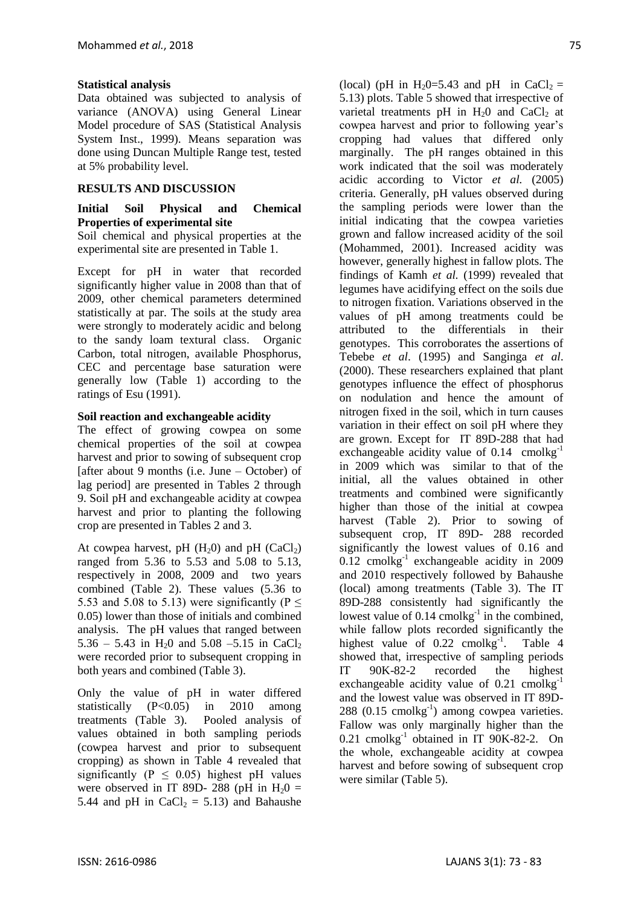## **Statistical analysis**

Data obtained was subjected to analysis of variance (ANOVA) using General Linear Model procedure of SAS (Statistical Analysis System Inst., 1999). Means separation was done using Duncan Multiple Range test, tested at 5% probability level.

## **RESULTS AND DISCUSSION**

# **Initial Soil Physical and Chemical Properties of experimental site**

Soil chemical and physical properties at the experimental site are presented in Table 1.

Except for pH in water that recorded significantly higher value in 2008 than that of 2009, other chemical parameters determined statistically at par. The soils at the study area were strongly to moderately acidic and belong to the sandy loam textural class. Organic Carbon, total nitrogen, available Phosphorus, CEC and percentage base saturation were generally low (Table 1) according to the ratings of Esu (1991).

#### **Soil reaction and exchangeable acidity**

The effect of growing cowpea on some chemical properties of the soil at cowpea harvest and prior to sowing of subsequent crop [after about 9 months (i.e. June  $-$  October) of lag period] are presented in Tables 2 through 9. Soil pH and exchangeable acidity at cowpea harvest and prior to planting the following crop are presented in Tables 2 and 3.

At cowpea harvest, pH  $(H_20)$  and pH  $(CaCl_2)$ ranged from 5.36 to 5.53 and 5.08 to 5.13, respectively in 2008, 2009 and two years combined (Table 2). These values (5.36 to 5.53 and 5.08 to 5.13) were significantly ( $P \leq$ 0.05) lower than those of initials and combined analysis. The pH values that ranged between 5.36 – 5.43 in H<sub>2</sub>0 and 5.08 – 5.15 in CaCl<sub>2</sub> were recorded prior to subsequent cropping in both years and combined (Table 3).

Only the value of pH in water differed statistically (P<0.05) in 2010 among treatments (Table 3). Pooled analysis of values obtained in both sampling periods (cowpea harvest and prior to subsequent cropping) as shown in Table 4 revealed that significantly ( $P \leq 0.05$ ) highest pH values were observed in IT 89D- 288 (pH in  $H_2$ 0 = 5.44 and pH in CaCl<sub>2</sub> = 5.13) and Bahaushe

(local) (pH in H<sub>2</sub>0=5.43 and pH in CaCl<sub>2</sub> = 5.13) plots. Table 5 showed that irrespective of varietal treatments pH in  $H<sub>2</sub>0$  and CaCl<sub>2</sub> at cowpea harvest and prior to following year's cropping had values that differed only marginally. The pH ranges obtained in this work indicated that the soil was moderately acidic according to Victor *et al.* (2005) criteria. Generally, pH values observed during the sampling periods were lower than the initial indicating that the cowpea varieties grown and fallow increased acidity of the soil (Mohammed, 2001). Increased acidity was however, generally highest in fallow plots. The findings of Kamh *et al.* (1999) revealed that legumes have acidifying effect on the soils due to nitrogen fixation. Variations observed in the values of pH among treatments could be attributed to the differentials in their genotypes. This corroborates the assertions of Tebebe *et al*. (1995) and Sanginga *et al*. (2000). These researchers explained that plant genotypes influence the effect of phosphorus on nodulation and hence the amount of nitrogen fixed in the soil, which in turn causes variation in their effect on soil pH where they are grown. Except for IT 89D-288 that had exchangeable acidity value of  $0.14$  cmolkg<sup>-1</sup> in 2009 which was similar to that of the initial, all the values obtained in other treatments and combined were significantly higher than those of the initial at cowpea harvest (Table 2). Prior to sowing of subsequent crop, IT 89D- 288 recorded significantly the lowest values of 0.16 and  $0.12$  cmolkg<sup>-1</sup> exchangeable acidity in 2009 and 2010 respectively followed by Bahaushe (local) among treatments (Table 3). The IT 89D-288 consistently had significantly the lowest value of  $0.14$  cmolkg<sup>-1</sup> in the combined, while fallow plots recorded significantly the highest value of  $0.22$  cmolkg<sup>-1</sup>. . Table 4 showed that, irrespective of sampling periods IT 90K-82-2 recorded the highest exchangeable acidity value of 0.21 cmolkg<sup>-1</sup> and the lowest value was observed in IT 89D- $288$  (0.15 cmolkg<sup>-1</sup>) among cowpea varieties. Fallow was only marginally higher than the 0.21 cmolkg<sup>-1</sup> obtained in IT 90K-82-2. On the whole, exchangeable acidity at cowpea harvest and before sowing of subsequent crop were similar (Table 5).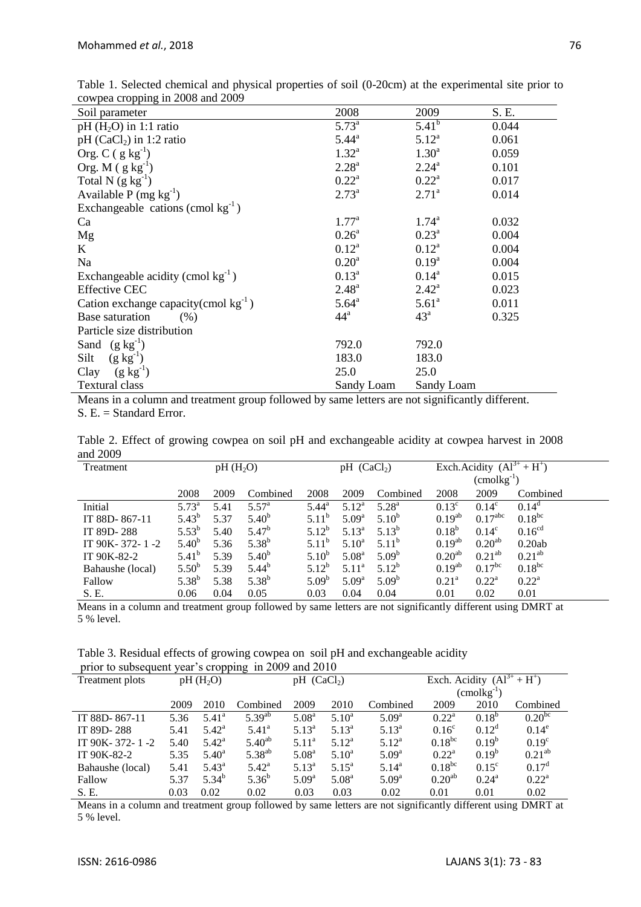| Soil parameter                             | 2008              | 2009           | S. E. |
|--------------------------------------------|-------------------|----------------|-------|
| $pH(H2O)$ in 1:1 ratio                     | $5.73^{a}$        | $5.41^{b}$     | 0.044 |
| pH $(CaCl2)$ in 1:2 ratio                  | $5.44^{\circ}$    | $5.12^{a}$     | 0.061 |
| Org. C $(g kg^{-1})$                       | $1.32^{a}$        | $1.30^{\rm a}$ | 0.059 |
| Org. $M$ (g kg <sup>-1</sup> )             | $2.28^{a}$        | $2.24^{\circ}$ | 0.101 |
| Total N $(g kg^{-1})$                      | $0.22^{\rm a}$    | $0.22^{\rm a}$ | 0.017 |
| Available P $(mg kg^{-1})$                 | $2.73^{a}$        | $2.71^a$       | 0.014 |
| Exchangeable cations (cmol $kg^{-1}$ )     |                   |                |       |
| Ca                                         | $1.77^{\rm a}$    | $1.74^{\circ}$ | 0.032 |
| Mg                                         | $0.26^{\rm a}$    | $0.23^{\rm a}$ | 0.004 |
| K                                          | $0.12^{\rm a}$    | $0.12^a$       | 0.004 |
| Na                                         | 0.20 <sup>a</sup> | $0.19^{a}$     | 0.004 |
| Exchangeable acidity (cmol $kg^{-1}$ )     | $0.13^{\rm a}$    | $0.14^{\rm a}$ | 0.015 |
| <b>Effective CEC</b>                       | $2.48^{a}$        | $2.42^{\rm a}$ | 0.023 |
| Cation exchange capacity (cmol $kg^{-1}$ ) | $5.64^{\rm a}$    | $5.61^{\circ}$ | 0.011 |
| Base saturation<br>(% )                    | $44^{\mathrm{a}}$ | $43^{\circ}$   | 0.325 |
| Particle size distribution                 |                   |                |       |
| Sand $(g \text{ kg}^{-1})$                 | 792.0             | 792.0          |       |
| $(g kg^{-1})$<br>Silt                      | 183.0             | 183.0          |       |
| Clay $(g \, kg^{-1})$                      | 25.0              | 25.0           |       |
| <b>Textural class</b>                      | Sandy Loam        | Sandy Loam     |       |

Table 1. Selected chemical and physical properties of soil (0-20cm) at the experimental site prior to cowpea cropping in 2008 and 2009

Means in a column and treatment group followed by same letters are not significantly different. S. E. = Standard Error.

Table 2. Effect of growing cowpea on soil pH and exchangeable acidity at cowpea harvest in 2008 and 2009

| Treatment        | pH(H <sub>2</sub> O) |      |                |                   | $pH$ (CaCl <sub>2</sub> ) |            |                    | Exch.Acidity $(Al^{3+} + H^+)$ |                    |  |
|------------------|----------------------|------|----------------|-------------------|---------------------------|------------|--------------------|--------------------------------|--------------------|--|
|                  |                      |      |                |                   |                           |            |                    | $(\text{cmolkg}^{-1})$         |                    |  |
|                  | 2008                 | 2009 | Combined       | 2008              | 2009                      | Combined   | 2008               | 2009                           | Combined           |  |
| Initial          | $5.73^{\circ}$       | 5.41 | $5.57^{\rm a}$ | $5.44^{\rm a}$    | $5.12^a$                  | $5.28^{a}$ | $0.13^{\circ}$     | $0.14^{\circ}$                 | $0.14^d$           |  |
| IT 88D-867-11    | $5.43^{b}$           | 5.37 | $5.40^{b}$     | $5.11^b$          | 5.09 <sup>a</sup>         | $5.10^{b}$ | $0.19^{ab}$        | $0.17^{\text{abc}}$            | $0.18^{bc}$        |  |
| IT 89D-288       | $5.53^{b}$           | 5.40 | $5.47^{\rm b}$ | $5.12^{b}$        | $5.13^{a}$                | $5.13^{b}$ | $0.18^{b}$         | $0.14^{\circ}$                 | 0.16 <sup>cd</sup> |  |
| IT 90K-372-1-2   | $5.40^{b}$           | 5.36 | $5.38^{b}$     | $5.11^b$          | $5.10^a$                  | $5.11^{b}$ | $0.19^{ab}$        | $0.20^{ab}$                    | 0.20ab             |  |
| IT 90K-82-2      | $5.41^{b}$           | 5.39 | $5.40^{b}$     | $5.10^{b}$        | 5.08 <sup>a</sup>         | $5.09^{b}$ | 0.20 <sup>ab</sup> | 0.21 <sup>ab</sup>             | 0.21 <sup>ab</sup> |  |
| Bahaushe (local) | $5.50^{b}$           | 5.39 | $5.44^{b}$     | $5.12^{b}$        | 5.11 <sup>a</sup>         | $5.12^{b}$ | $0.19^{ab}$        | $0.17^{bc}$                    | $0.18^{bc}$        |  |
| Fallow           | $5.38^{b}$           | 5.38 | $5.38^{b}$     | 5.09 <sup>b</sup> | $5.09^{\rm a}$            | $5.09^{b}$ | $0.21^{\rm a}$     | $0.22^{\rm a}$                 | $0.22^{\rm a}$     |  |
| S. E.            | 0.06                 | 0.04 | 0.05           | 0.03              | 0.04                      | 0.04       | 0.01               | 0.02                           | 0.01               |  |

Means in a column and treatment group followed by same letters are not significantly different using DMRT at 5 % level.

|  | Table 3. Residual effects of growing cowpea on soil pH and exchangeable acidity |  |  |  |  |
|--|---------------------------------------------------------------------------------|--|--|--|--|
|  | prior to subsequent year's cropping in 2009 and 2010                            |  |  |  |  |

| Treatment plots  |      | $pH(H_2O)$     |                | $pH$ (CaCl <sub>2</sub> ) |                   |                   | Exch. Acidity $(\overline{Al^{3+} + H^+})$ |                |                |  |
|------------------|------|----------------|----------------|---------------------------|-------------------|-------------------|--------------------------------------------|----------------|----------------|--|
|                  |      |                |                |                           |                   |                   | $($ cmol $kg^{-1}$                         |                |                |  |
|                  | 2009 | 2010           | Combined       | 2009                      | 2010              | Combined          | 2009                                       | 2010           | Combined       |  |
| IT 88D-867-11    | 5.36 | $5.41^{\circ}$ | $5.39^{ab}$    | 5.08 <sup>a</sup>         | $5.10^a$          | $5.09^{\rm a}$    | $0.22^a$                                   | $0.18^{p}$     | $0.20^{bc}$    |  |
| IT 89D-288       | 5.41 | $5.42^{\rm a}$ | $5.41^{\rm a}$ | $5.13^{a}$                | $5.13^{\circ}$    | $5.13^{\rm a}$    | 0.16 <sup>c</sup>                          | $0.12^d$       | $0.14^e$       |  |
| IT 90K-372-1-2   | 5.40 | $5.42^{\rm a}$ | $5.40^{ab}$    | $5.11^{\rm a}$            | $5.12^a$          | $5.12^{\rm a}$    | $0.18^{bc}$                                | $0.19^{b}$     | $0.19^{\circ}$ |  |
| IT 90K-82-2      | 5.35 | $5.40^{\circ}$ | $5.38^{ab}$    | 5.08 <sup>a</sup>         | $5.10^a$          | 5.09 <sup>a</sup> | $0.22^a$                                   | $0.19^{b}$     | $0.21^{ab}$    |  |
| Bahaushe (local) | 5.41 | $5.43^{\rm a}$ | $5.42^{\rm a}$ | $5.13^{\circ}$            | $5.15^{\rm a}$    | $5.14^{\rm a}$    | $0.18^{bc}$                                | $0.15^{\circ}$ | $0.17^d$       |  |
| Fallow           | 5.37 | $5.34^{b}$     | $5.36^{b}$     | $5.09^{\rm a}$            | 5.08 <sup>a</sup> | $5.09^{\rm a}$    | 0.20 <sup>ab</sup>                         | $0.24^{\rm a}$ | $0.22^{\rm a}$ |  |
| S. E.            | 0.03 | 0.02           | 0.02           | 0.03                      | 0.03              | 0.02              | 0.01                                       | 0.01           | 0.02           |  |

Means in a column and treatment group followed by same letters are not significantly different using DMRT at 5 % level.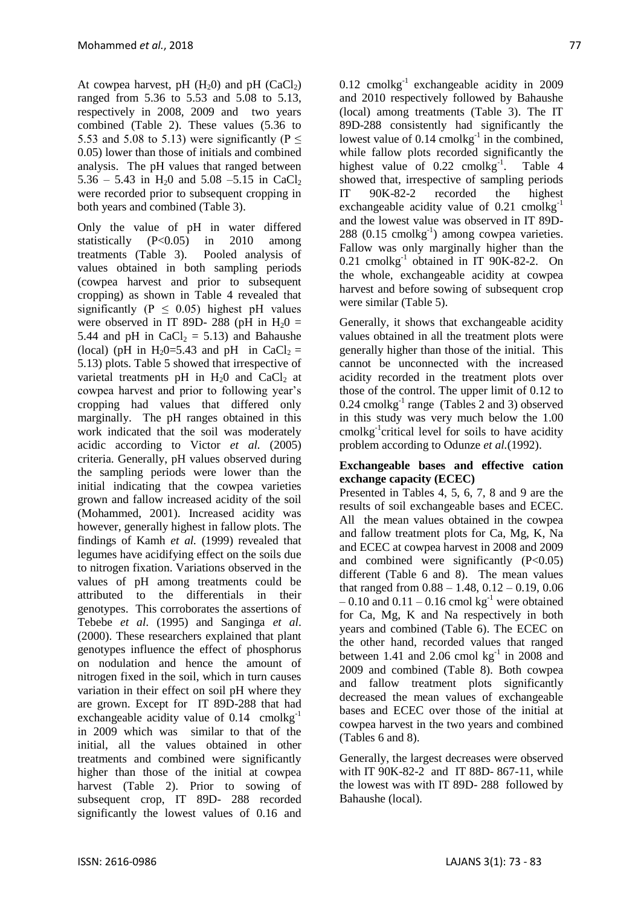At cowpea harvest, pH  $(H<sub>2</sub>0)$  and pH  $(CaCl<sub>2</sub>)$ ranged from 5.36 to 5.53 and 5.08 to 5.13, respectively in 2008, 2009 and two years combined (Table 2). These values (5.36 to 5.53 and 5.08 to 5.13) were significantly ( $P \le$ 0.05) lower than those of initials and combined analysis. The pH values that ranged between 5.36 – 5.43 in H<sub>2</sub>0 and 5.08 – 5.15 in CaCl<sub>2</sub> were recorded prior to subsequent cropping in both years and combined (Table 3).

Only the value of pH in water differed statistically (P<0.05) in 2010 among treatments (Table 3). Pooled analysis of values obtained in both sampling periods (cowpea harvest and prior to subsequent cropping) as shown in Table 4 revealed that significantly ( $P \leq 0.05$ ) highest pH values were observed in IT 89D- 288 (pH in  $H_2$ 0 = 5.44 and pH in  $CaCl<sub>2</sub> = 5.13$  and Bahaushe (local) (pH in H<sub>2</sub>0=5.43 and pH in CaCl<sub>2</sub> = 5.13) plots. Table 5 showed that irrespective of varietal treatments  $pH$  in  $H<sub>2</sub>0$  and CaCl<sub>2</sub> at cowpea harvest and prior to following year's cropping had values that differed only marginally. The pH ranges obtained in this work indicated that the soil was moderately acidic according to Victor *et al.* (2005) criteria. Generally, pH values observed during the sampling periods were lower than the initial indicating that the cowpea varieties grown and fallow increased acidity of the soil (Mohammed, 2001). Increased acidity was however, generally highest in fallow plots. The findings of Kamh *et al.* (1999) revealed that legumes have acidifying effect on the soils due to nitrogen fixation. Variations observed in the values of pH among treatments could be attributed to the differentials in their genotypes. This corroborates the assertions of Tebebe *et al*. (1995) and Sanginga *et al*. (2000). These researchers explained that plant genotypes influence the effect of phosphorus on nodulation and hence the amount of nitrogen fixed in the soil, which in turn causes variation in their effect on soil pH where they are grown. Except for IT 89D-288 that had exchangeable acidity value of  $0.14$  cmolkg<sup>-1</sup> in 2009 which was similar to that of the initial, all the values obtained in other treatments and combined were significantly higher than those of the initial at cowpea harvest (Table 2). Prior to sowing of subsequent crop, IT 89D- 288 recorded significantly the lowest values of 0.16 and

 $0.12$  cmolkg<sup>-1</sup> exchangeable acidity in 2009 and 2010 respectively followed by Bahaushe (local) among treatments (Table 3). The IT 89D-288 consistently had significantly the lowest value of  $0.14$  cmolkg<sup>-1</sup> in the combined, while fallow plots recorded significantly the highest value of  $0.22$  cmolkg<sup>-1</sup>. . Table 4 showed that, irrespective of sampling periods IT 90K-82-2 recorded the highest exchangeable acidity value of  $0.21$  cmolkg<sup>-1</sup> and the lowest value was observed in IT 89D- $288$  (0.15 cmolkg<sup>-1</sup>) among cowpea varieties. Fallow was only marginally higher than the 0.21 cmolkg<sup>-1</sup> obtained in IT 90K-82-2. On the whole, exchangeable acidity at cowpea harvest and before sowing of subsequent crop were similar (Table 5).

Generally, it shows that exchangeable acidity values obtained in all the treatment plots were generally higher than those of the initial. This cannot be unconnected with the increased acidity recorded in the treatment plots over those of the control. The upper limit of 0.12 to  $0.24$  cmolkg<sup>-1</sup> range (Tables 2 and 3) observed in this study was very much below the 1.00 cmolkg-1 critical level for soils to have acidity problem according to Odunze *et al.*(1992).

## **Exchangeable bases and effective cation exchange capacity (ECEC)**

Presented in Tables 4, 5, 6, 7, 8 and 9 are the results of soil exchangeable bases and ECEC. All the mean values obtained in the cowpea and fallow treatment plots for Ca, Mg, K, Na and ECEC at cowpea harvest in 2008 and 2009 and combined were significantly  $(P<0.05)$ different (Table 6 and 8). The mean values that ranged from  $0.88 - 1.48$ ,  $0.12 - 0.19$ ,  $0.06$  $-0.10$  and  $0.11 - 0.16$  cmol kg<sup>-1</sup> were obtained for Ca, Mg, K and Na respectively in both years and combined (Table 6). The ECEC on the other hand, recorded values that ranged between 1.41 and 2.06 cmol  $kg^{-1}$  in 2008 and 2009 and combined (Table 8). Both cowpea and fallow treatment plots significantly decreased the mean values of exchangeable bases and ECEC over those of the initial at cowpea harvest in the two years and combined (Tables 6 and 8).

Generally, the largest decreases were observed with IT 90K-82-2 and IT 88D- 867-11, while the lowest was with IT 89D- 288 followed by Bahaushe (local).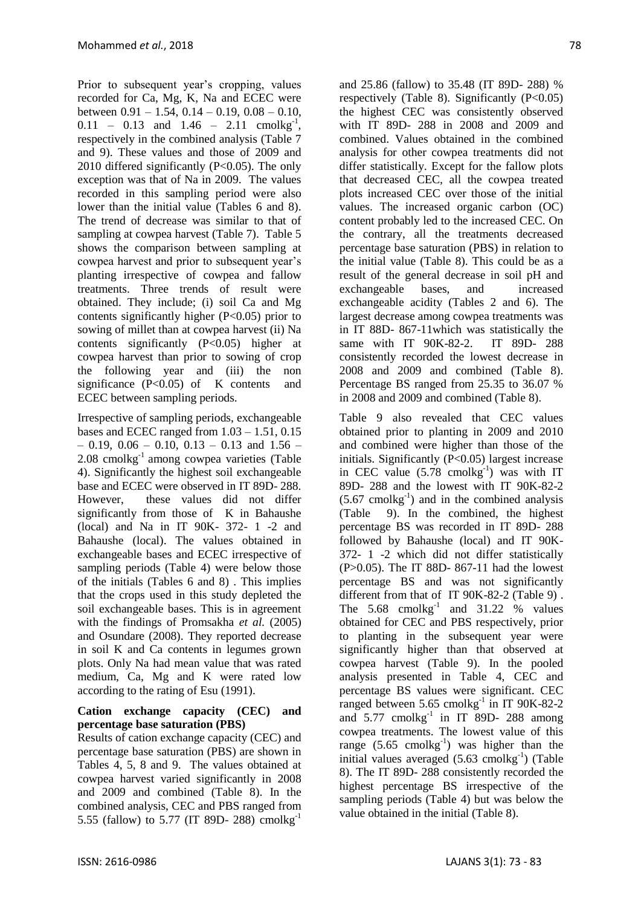Prior to subsequent year's cropping, values recorded for Ca, Mg, K, Na and ECEC were between  $0.91 - 1.54$ ,  $0.14 - 0.19$ ,  $0.08 - 0.10$ ,  $0.11 - 0.13$  and  $1.46 - 2.11$  cmolkg<sup>-1</sup>, respectively in the combined analysis (Table 7 and 9). These values and those of 2009 and 2010 differed significantly (P<0.05). The only exception was that of Na in 2009. The values recorded in this sampling period were also lower than the initial value (Tables 6 and 8). The trend of decrease was similar to that of sampling at cowpea harvest (Table 7). Table 5 shows the comparison between sampling at cowpea harvest and prior to subsequent year's planting irrespective of cowpea and fallow treatments. Three trends of result were obtained. They include; (i) soil Ca and Mg contents significantly higher  $(P<0.05)$  prior to sowing of millet than at cowpea harvest (ii) Na contents significantly  $(P<0.05)$  higher at cowpea harvest than prior to sowing of crop the following year and (iii) the non significance  $(P<0.05)$  of K contents and ECEC between sampling periods.

Irrespective of sampling periods, exchangeable bases and ECEC ranged from  $1.03 - 1.51$ ,  $0.15$  $-$  0.19, 0.06  $-$  0.10, 0.13  $-$  0.13 and 1.56  $-$ 2.08 cmolkg-1 among cowpea varieties (Table 4). Significantly the highest soil exchangeable base and ECEC were observed in IT 89D- 288. However, these values did not differ significantly from those of K in Bahaushe (local) and Na in IT 90K- 372- 1 -2 and Bahaushe (local). The values obtained in exchangeable bases and ECEC irrespective of sampling periods (Table 4) were below those of the initials (Tables 6 and 8) . This implies that the crops used in this study depleted the soil exchangeable bases. This is in agreement with the findings of Promsakha *et al.* (2005) and Osundare (2008). They reported decrease in soil K and Ca contents in legumes grown plots. Only Na had mean value that was rated medium, Ca, Mg and K were rated low according to the rating of Esu (1991).

## **Cation exchange capacity (CEC) and percentage base saturation (PBS)**

Results of cation exchange capacity (CEC) and percentage base saturation (PBS) are shown in Tables 4, 5, 8 and 9. The values obtained at cowpea harvest varied significantly in 2008 and 2009 and combined (Table 8). In the combined analysis, CEC and PBS ranged from 5.55 (fallow) to 5.77 (IT 89D- 288) cmolkg-1

and 25.86 (fallow) to 35.48 (IT 89D- 288) % respectively (Table 8). Significantly (P<0.05) the highest CEC was consistently observed with IT 89D- 288 in 2008 and 2009 and combined. Values obtained in the combined analysis for other cowpea treatments did not differ statistically. Except for the fallow plots that decreased CEC, all the cowpea treated plots increased CEC over those of the initial values. The increased organic carbon (OC) content probably led to the increased CEC. On the contrary, all the treatments decreased percentage base saturation (PBS) in relation to the initial value (Table 8). This could be as a result of the general decrease in soil pH and exchangeable bases, and increased exchangeable acidity (Tables 2 and 6). The largest decrease among cowpea treatments was in IT 88D- 867-11which was statistically the same with IT 90K-82-2. IT 89D- 288 consistently recorded the lowest decrease in 2008 and 2009 and combined (Table 8). Percentage BS ranged from 25.35 to 36.07 % in 2008 and 2009 and combined (Table 8).

Table 9 also revealed that CEC values obtained prior to planting in 2009 and 2010 and combined were higher than those of the initials. Significantly  $(P<0.05)$  largest increase in CEC value  $(5.78 \text{ cmolkg}^{-1})$  was with IT 89D- 288 and the lowest with IT 90K-82-2  $(5.67 \text{ cmolkg}^{-1})$  and in the combined analysis (Table 9). In the combined, the highest percentage BS was recorded in IT 89D- 288 followed by Bahaushe (local) and IT 90K-372- 1 -2 which did not differ statistically (P>0.05). The IT 88D- 867-11 had the lowest percentage BS and was not significantly different from that of IT 90K-82-2 (Table 9) . The  $5.68$  cmolkg<sup>-1</sup> and  $31.22$  % values obtained for CEC and PBS respectively, prior to planting in the subsequent year were significantly higher than that observed at cowpea harvest (Table 9). In the pooled analysis presented in Table 4, CEC and percentage BS values were significant. CEC ranged between 5.65 cmolkg<sup>-1</sup> in IT 90K-82-2 and  $5.77$  cmolkg<sup>-1</sup> in IT 89D- 288 among cowpea treatments. The lowest value of this range  $(5.65 \text{ cmolkg}^{-1})$  was higher than the initial values averaged  $(5.63 \text{ cmolkg}^{-1})$  (Table 8). The IT 89D- 288 consistently recorded the highest percentage BS irrespective of the sampling periods (Table 4) but was below the value obtained in the initial (Table 8).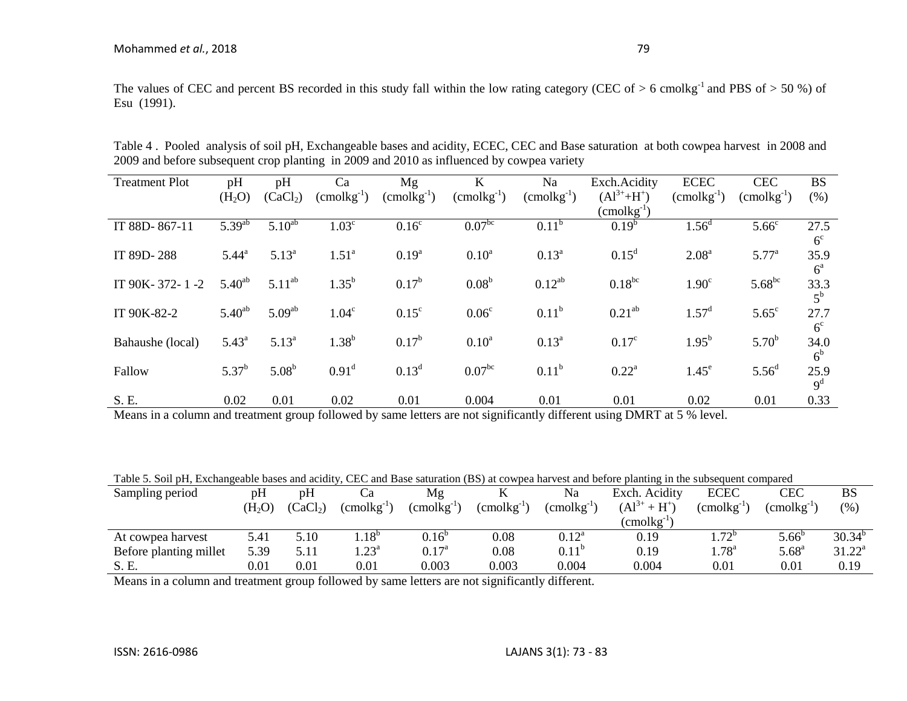The values of CEC and percent BS recorded in this study fall within the low rating category (CEC of  $> 6$  cmolkg<sup>-1</sup> and PBS of  $> 50\%$ ) of Esu (1991).

| <b>Treatment Plot</b> | pH                 | pH                   | Ca                     | Mg                | K                      | Na                     | Exch.Acidity           | <b>ECEC</b>            | <b>CEC</b>             | <b>BS</b>      |
|-----------------------|--------------------|----------------------|------------------------|-------------------|------------------------|------------------------|------------------------|------------------------|------------------------|----------------|
|                       | (H <sub>2</sub> O) | (CaCl <sub>2</sub> ) | $(\text{cmolkg}^{-1})$ | $(cmolkg-1)$      | $(\text{cmolkg}^{-1})$ | $(\text{cmolkg}^{-1})$ | $(A1^{3+}+H^+)$        | $(\text{cmolkg}^{-1})$ | $(\text{cmolkg}^{-1})$ | (% )           |
|                       |                    |                      |                        |                   |                        |                        | $(\text{cmolkg}^{-1})$ |                        |                        |                |
| IT 88D-867-11         | $5.39^{ab}$        | $5.10^{ab}$          | 1.03 <sup>c</sup>      | 0.16 <sup>c</sup> | 0.07 <sup>bc</sup>     | $0.11^{b}$             | $0.19^{b}$             | $1.56^d$               | 5.66 <sup>c</sup>      | 27.5           |
|                       |                    |                      |                        |                   |                        |                        |                        |                        |                        | 6 <sup>c</sup> |
| IT 89D-288            | $5.44^{\circ}$     | $5.13^{a}$           | 1.51 <sup>a</sup>      | $0.19^{a}$        | 0.10 <sup>a</sup>      | $0.13^a$               | $0.15^d$               | 2.08 <sup>a</sup>      | $5.77^{\circ}$         | 35.9           |
|                       |                    |                      |                        |                   |                        |                        |                        |                        |                        | $6^{\circ}$    |
| IT 90K-372-1-2        | $5.40^{ab}$        | $5.11^{ab}$          | $1.35^{b}$             | $0.17^{b}$        | 0.08 <sup>b</sup>      | $0.12^{ab}$            | $0.18^{bc}$            | 1.90 <sup>c</sup>      | $5.68^{bc}$            | 33.3           |
|                       |                    |                      |                        |                   |                        |                        |                        |                        |                        | $5^{\rm b}$    |
|                       |                    |                      |                        |                   |                        |                        |                        |                        |                        |                |
| IT 90K-82-2           | $5.40^{ab}$        | 5.09 <sup>ab</sup>   | 1.04 <sup>c</sup>      | $0.15^{\circ}$    | 0.06 <sup>c</sup>      | $0.11^{b}$             | $0.21^{ab}$            | $1.57^{\rm d}$         | $5.65^{\circ}$         | 27.7           |
|                       |                    |                      |                        |                   |                        |                        |                        |                        |                        | 6 <sup>c</sup> |
| Bahaushe (local)      | $5.43^{\circ}$     | $5.13^{a}$           | $1.38^{b}$             | $0.17^{\rm b}$    | $0.10^{a}$             | $0.13^{a}$             | $0.17^{\circ}$         | $1.95^{b}$             | $5.70^{b}$             | 34.0           |
|                       |                    |                      |                        |                   |                        |                        |                        |                        |                        | 6 <sup>b</sup> |
| Fallow                | $5.37^{b}$         | $5.08^{b}$           | $0.91^d$               | $0.13^d$          | 0.07 <sup>bc</sup>     | $0.11^{b}$             | $0.22^{\text{a}}$      | $1.45^e$               | 5.56 <sup>d</sup>      | 25.9           |
|                       |                    |                      |                        |                   |                        |                        |                        |                        |                        |                |
|                       |                    |                      |                        |                   |                        |                        |                        |                        |                        | 9 <sup>d</sup> |
| S. E.                 | 0.02               | 0.01                 | 0.02                   | 0.01              | 0.004                  | 0.01                   | 0.01                   | 0.02                   | 0.01                   | 0.33           |

Table 4 . Pooled analysis of soil pH, Exchangeable bases and acidity, ECEC, CEC and Base saturation at both cowpea harvest in 2008 and 2009 and before subsequent crop planting in 2009 and 2010 as influenced by cowpea variety

Means in a column and treatment group followed by same letters are not significantly different using DMRT at 5 % level.

Table 5. Soil pH, Exchangeable bases and acidity, CEC and Base saturation (BS) at cowpea harvest and before planting in the subsequent compared

| Sampling period        | pH                 | pH                   |                       | Mg                  |              | Na                  | Exch. Acidity        | <b>ECEC</b>           | CEC             | BS          |
|------------------------|--------------------|----------------------|-----------------------|---------------------|--------------|---------------------|----------------------|-----------------------|-----------------|-------------|
|                        | (H <sub>2</sub> O) | (CaCl <sub>2</sub> ) | $\text{comolkg}^{-1}$ | $\rm (cmolkg^{-1})$ | $(cmolkg-1)$ | $\rm (cmolkg^{-1})$ | $(A1^{3+}$<br>$+H^+$ | $\text{comolkg}^{-1}$ | $(cmolkg^{-1})$ | (% )        |
|                        |                    |                      |                       |                     |              |                     | $\text{cmolkg}^{-1}$ |                       |                 |             |
| At cowpea harvest      | 5.41               | 5.10                 | .18 <sup>b</sup>      | $0.16^b$            | 0.08         | $0.12^{\text{a}}$   | 0.19                 | $1.72^{b}$            | $5.66^{\circ}$  | $30.34^{b}$ |
| Before planting millet | 5.39               | 5.11                 | $1.23^{\circ}$        | $0.17^{\rm a}$      | 0.08         | $0.11^b$            | 0.19                 | $1.78^{a}$            | $5.68^{\rm a}$  | $31.22^a$   |
| S. E.                  | $0.01\,$           | 0.01                 | $\rm 0.01$            | 0.003               | 0.003        | 0.004               | 0.004                | 0.01                  | $\rm 0.01$      | 0.19        |

Means in a column and treatment group followed by same letters are not significantly different.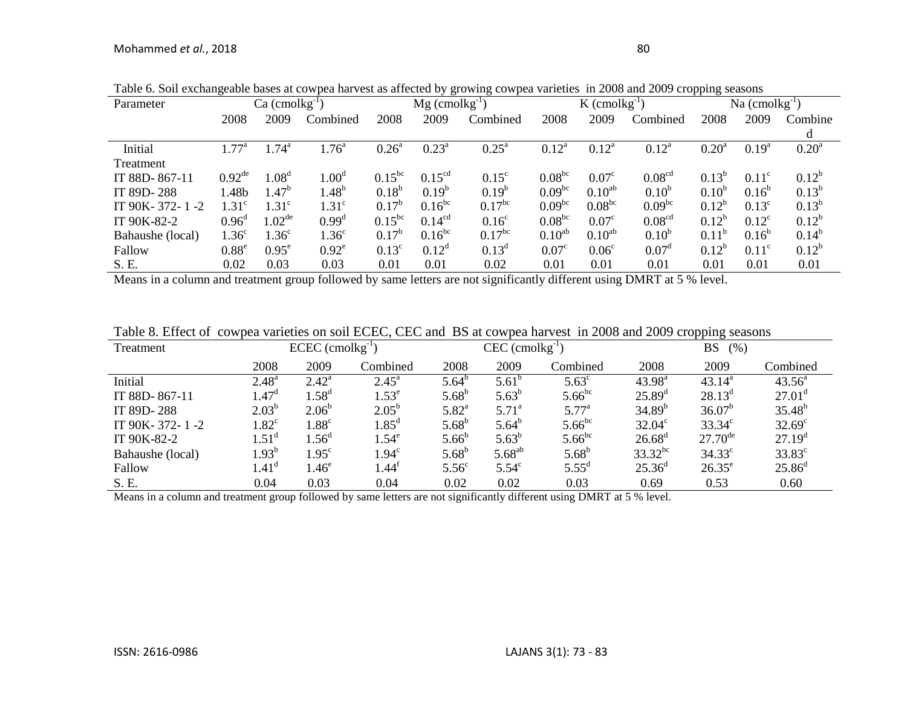| Parameter        |                      | $Ca$ (cmolkg <sup>-1</sup> ) |                   | $Mg$ (cmolkg <sup>-1</sup> ) |                    |                      | $K$ (cmolkg <sup>-1</sup> ) |                   |                    | Na $(cmolkg^{-1})$ |                |                   |
|------------------|----------------------|------------------------------|-------------------|------------------------------|--------------------|----------------------|-----------------------------|-------------------|--------------------|--------------------|----------------|-------------------|
|                  | 2008                 | 2009                         | Combined          | 2008                         | 2009<br>Combined   |                      | 2008                        | 2009              | Combined           | 2008               | 2009           | Combine           |
|                  |                      |                              |                   |                              |                    |                      |                             |                   |                    |                    |                |                   |
| Initial          | $.77^{\circ}$        | .74 <sup>a</sup>             | .76 <sup>a</sup>  | $0.26^{\text{a}}$            | $0.23^{\rm a}$     | $0.25^{\text{a}}$    | $0.12^a$                    | $0.12^a$          | $0.12^a$           | 0.20 <sup>a</sup>  | $0.19^{a}$     | 0.20 <sup>a</sup> |
| Treatment        |                      |                              |                   |                              |                    |                      |                             |                   |                    |                    |                |                   |
| IT 88D-867-11    | $0.92$ <sup>de</sup> | .08 <sup>d</sup>             | 1.00 <sup>d</sup> | $0.15^{bc}$                  | 0.15 <sup>cd</sup> | $0.15^{\circ}$       | $0.08^{bc}$                 | 0.07 <sup>c</sup> | 0.08 <sup>cd</sup> | $0.13^{b}$         | $0.11^{\circ}$ | $0.12^{b}$        |
| IT 89D-288       | 1.48b                | $.47^{b}$                    | $1.48^{b}$        | $0.18^{b}$                   | $0.19^{b}$         | $0.19^b$             | 0.09 <sup>bc</sup>          | $0.10^{ab}$       | 0.10 <sup>b</sup>  | 0.10 <sup>b</sup>  | $0.16^{b}$     | $0.13^{b}$        |
| IT 90K-372-1-2   | 1.31 <sup>c</sup>    | 1.31 <sup>c</sup>            | 1.31 <sup>c</sup> | $0.17^{b}$                   | $0.16^{bc}$        | $0.17^{bc}$          | 0.09 <sup>bc</sup>          | $0.08^{bc}$       | 0.09 <sup>bc</sup> | $0.12^{b}$         | $0.13^{\circ}$ | $0.13^{b}$        |
| IT 90K-82-2      | $0.96^{\rm d}$       | 1.02 <sup>de</sup>           | $0.99^d$          | $0.15^{bc}$                  | 0.14 <sup>cd</sup> | 0.16 <sup>c</sup>    | $0.08^{bc}$                 | 0.07 <sup>c</sup> | 0.08 <sup>cd</sup> | $0.12^{b}$         | $0.12^{\circ}$ | $0.12^{b}$        |
| Bahaushe (local) | 1.36 <sup>c</sup>    | $1.36^{\circ}$               | 1.36 <sup>c</sup> | $0.17^b$                     | $0.16^{bc}$        | $0.17$ <sup>bc</sup> | $0.10^{ab}$                 | $0.10^{ab}$       | 0.10 <sup>b</sup>  | $0.11^{b}$         | $0.16^{b}$     | $0.14^{b}$        |
| Fallow           | $0.88^e$             | $0.95^e$                     | $0.92^e$          | $0.13^{\circ}$               | $0.12^d$           | $0.13^d$             | 0.07 <sup>c</sup>           | 0.06 <sup>c</sup> | $0.07^{\rm d}$     | $0.12^{b}$         | $0.11^{\circ}$ | $0.12^b$          |
| S. E.            | 0.02                 | 0.03                         | 0.03              | 0.01                         | 0.01               | 0.02                 | 0.01                        | 0.01              | 0.01               | 0.01               | 0.01           | 0.01              |

Table 6. Soil exchangeable bases at cowpea harvest as affected by growing cowpea varieties in 2008 and 2009 cropping seasons

Means in a column and treatment group followed by same letters are not significantly different using DMRT at 5 % level.

| Table 8. Effect of cowpea varieties on soil ECEC, CEC and BS at cowpea harvest in 2008 and 2009 cropping seasons |  |  |  |  |  |
|------------------------------------------------------------------------------------------------------------------|--|--|--|--|--|
|------------------------------------------------------------------------------------------------------------------|--|--|--|--|--|

| Treatment        | $ECEC$ (cmolkg <sup>-1</sup> ) |                   |                      |                   | $CEC$ (cmolkg <sup>-1</sup> ) |                | <b>BS</b><br>(%)   |                     |                    |  |
|------------------|--------------------------------|-------------------|----------------------|-------------------|-------------------------------|----------------|--------------------|---------------------|--------------------|--|
|                  | 2008                           | 2009              | Combined             | 2008              | 2009                          | Combined       | 2008               | 2009                | Combined           |  |
| Initial          | $2.48^{a}$                     | $2.42^{\circ}$    | $2.45^{\circ}$       | $5.64^{b}$        | $5.61^{b}$                    | $5.63^{\circ}$ | $43.98^{a}$        | $43.14^{a}$         | $43.56^{\circ}$    |  |
| IT 88D-867-11    | $1.47^{\rm d}$                 | .58 <sup>d</sup>  | $1.53^e$             | $5.68^{b}$        | $5.63^{b}$                    | $5.66^{bc}$    | $25.89^{\rm d}$    | $28.13^d$           | $27.01^{\rm d}$    |  |
| IT 89D-288       | $2.03^{b}$                     | $2.06^{\circ}$    | $2.05^{\rm b}$       | $5.82^{a}$        | $5.71^{\circ}$                | $5.77^{\circ}$ | $34.89^{b}$        | 36.07 <sup>b</sup>  | $35.48^{b}$        |  |
| IT 90K-372-1-2   | $1.82^{\circ}$                 | $1.88^{\circ}$    | 1.85 <sup>d</sup>    | $5.68^{b}$        | $5.64^{b}$                    | $5.66^{bc}$    | $32.04^{\circ}$    | $33.34^{\circ}$     | $32.69^{\circ}$    |  |
| IT 90K-82-2      | 1.51 <sup>d</sup>              | .56 <sup>d</sup>  | $1.54^e$             | $5.66^{b}$        | $5.63^{b}$                    | $5.66^{bc}$    | $26.68^{\rm d}$    | $27.70^{\text{de}}$ | 27.19 <sup>d</sup> |  |
| Bahaushe (local) | $1.93^b$                       | $1.95^{\circ}$    | $1.94^\circ$         | $5.68^{b}$        | $5.68^{ab}$                   | $5.68^{b}$     | $33.32^{bc}$       | $34.33^{\circ}$     | $33.83^{\circ}$    |  |
| Fallow           | 1.41 <sup>d</sup>              | $1.46^\mathrm{e}$ | l. $44^{\mathrm{t}}$ | 5.56 <sup>c</sup> | 5.54 <sup>c</sup>             | $5.55^{\rm d}$ | $25.36^{\text{d}}$ | $26.35^e$           | $25.86^{\rm d}$    |  |
| S. E.            | 0.04                           | 0.03              | 0.04                 | 0.02              | 0.02                          | 0.03           | 0.69               | 0.53                | 0.60               |  |

Means in a column and treatment group followed by same letters are not significantly different using DMRT at 5 % level.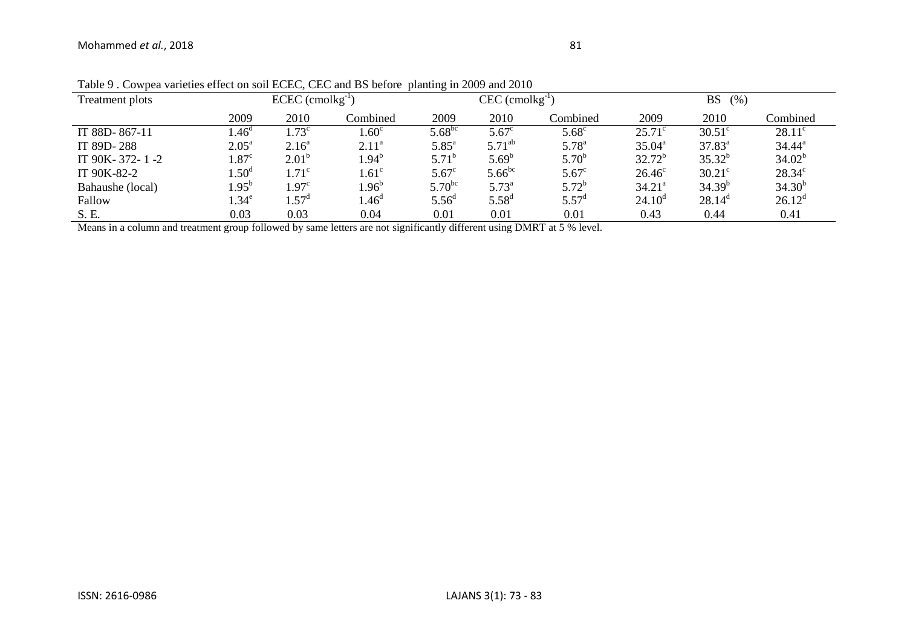| $1000$ , $1000$ , $1000$ , $1000$ , $1000$ , $1000$ , $1000$ , $100$ , $100$ , $100$ , $1000$ , $1000$ , $1000$<br>Treatment plots |                   | $ECEC$ (cmolkg <sup>-1</sup> ) |                   |                | $CEC$ (cmolkg <sup>-1</sup> ) |                | BS<br>(% )         |                 |                 |  |
|------------------------------------------------------------------------------------------------------------------------------------|-------------------|--------------------------------|-------------------|----------------|-------------------------------|----------------|--------------------|-----------------|-----------------|--|
|                                                                                                                                    | 2009              | 2010                           | Combined          | 2009           | 2010                          | Combined       | 2009               | 2010            | Combined        |  |
| IT 88D-867-11                                                                                                                      | .46 <sup>d</sup>  | $1.73^{\circ}$                 | .60 <sup>c</sup>  | $5.68^{bc}$    | $5.67^{\circ}$                | $5.68^{\circ}$ | $25.71^{\circ}$    | $30.51^{\circ}$ | $28.11^c$       |  |
| IT 89D-288                                                                                                                         | $2.05^{\text{a}}$ | $2.16^{\circ}$                 | $2.11^a$          | $5.85^{\circ}$ | $5.71^{ab}$                   | $5.78^{a}$     | $35.04^{\circ}$    | $37.83^a$       | $34.44^{\rm a}$ |  |
| IT 90K-372-1-2                                                                                                                     | $.87^{\circ}$     | $2.01^{b}$                     | $1.94^b$          | $5.71^{\circ}$ | $5.69^{b}$                    | $5.70^{b}$     | $32.72^{b}$        | $35.32^{b}$     | $34.02^b$       |  |
| IT 90K-82-2                                                                                                                        | .50 <sup>d</sup>  | $1.71^\circ$                   | $.61^{\circ}$     | $5.67^{\circ}$ | $5.66^{bc}$                   | $5.67^{\circ}$ | $26.46^{\circ}$    | $30.21^\circ$   | $28.34^{\circ}$ |  |
| Bahaushe (local)                                                                                                                   | $.95^{b}$         | $1.97^{\circ}$                 | $1.96^{\circ}$    | $5.70^{bc}$    | $5.73^{a}$                    | $5.72^b$       | 34.21 <sup>a</sup> | $34.39^{b}$     | $34.30^{b}$     |  |
| Fallow                                                                                                                             | $.34^e$           | $1.57^{\circ}$                 | 1.46 <sup>a</sup> | $5.56^{\circ}$ | $5.58^{d}$                    | $5.57^{\rm d}$ | $24.10^{\circ}$    | $28.14^{\circ}$ | $26.12^d$       |  |
| S. E.                                                                                                                              | 0.03              | 0.03                           | 0.04              | 0.01           | 0.01                          | 0.01           | 0.43               | 0.44            | 0.41            |  |

Table 9 . Cowpea varieties effect on soil ECEC, CEC and BS before planting in 2009 and 2010

Means in a column and treatment group followed by same letters are not significantly different using DMRT at 5 % level.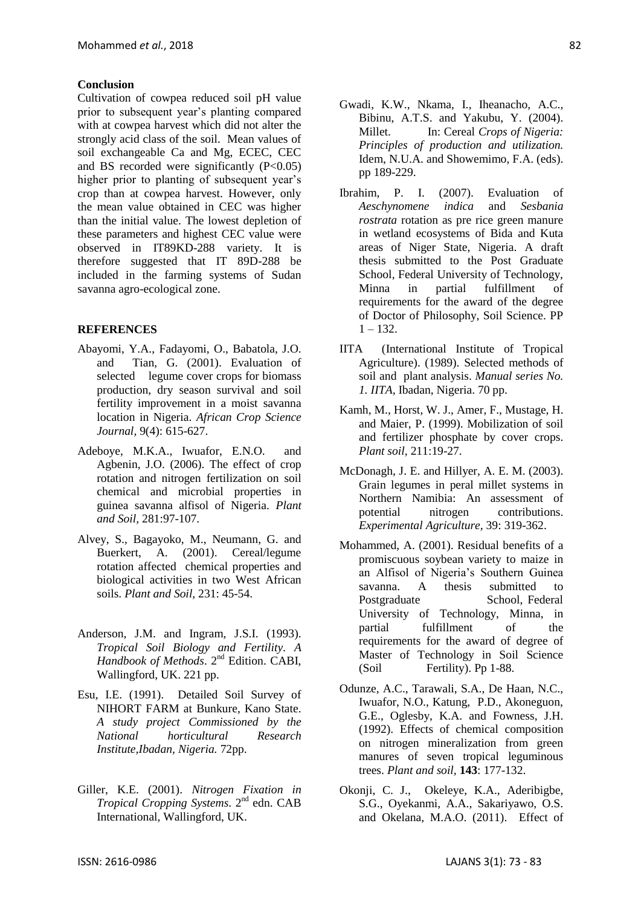#### **Conclusion**

Cultivation of cowpea reduced soil pH value prior to subsequent year's planting compared with at cowpea harvest which did not alter the strongly acid class of the soil. Mean values of soil exchangeable Ca and Mg, ECEC, CEC and BS recorded were significantly  $(P<0.05)$ higher prior to planting of subsequent year's crop than at cowpea harvest. However, only the mean value obtained in CEC was higher than the initial value. The lowest depletion of these parameters and highest CEC value were observed in IT89KD-288 variety. It is therefore suggested that IT 89D-288 be included in the farming systems of Sudan savanna agro-ecological zone.

#### **REFERENCES**

- Abayomi, Y.A., Fadayomi, O., Babatola, J.O. and Tian, G. (2001). Evaluation of selected legume cover crops for biomass production, dry season survival and soil fertility improvement in a moist savanna location in Nigeria. *African Crop Science Journal,* 9(4): 615-627.
- Adeboye, M.K.A., Iwuafor, E.N.O. and Agbenin, J.O. (2006). The effect of crop rotation and nitrogen fertilization on soil chemical and microbial properties in guinea savanna alfisol of Nigeria. *Plant and Soil,* 281:97-107.
- Alvey, S., Bagayoko, M., Neumann, G. and Buerkert, A. (2001). Cereal/legume rotation affected chemical properties and biological activities in two West African soils. *Plant and Soil,* 231: 45-54.
- Anderson, J.M. and Ingram, J.S.I. (1993). *Tropical Soil Biology and Fertility. A Handbook of Methods*. 2nd Edition. CABI, Wallingford, UK. 221 pp.
- Esu, I.E. (1991). Detailed Soil Survey of NIHORT FARM at Bunkure, Kano State. *A study project Commissioned by the National horticultural Research Institute,Ibadan, Nigeria.* 72pp.
- Giller, K.E. (2001). *Nitrogen Fixation in Tropical Cropping Systems*. 2nd edn. CAB International, Wallingford, UK.
- Ibrahim, P. I. (2007). Evaluation of *Aeschynomene indica* and *Sesbania rostrata* rotation as pre rice green manure in wetland ecosystems of Bida and Kuta areas of Niger State, Nigeria. A draft thesis submitted to the Post Graduate School, Federal University of Technology, Minna in partial fulfillment of requirements for the award of the degree of Doctor of Philosophy, Soil Science. PP  $1 - 132$ .
- IITA (International Institute of Tropical Agriculture). (1989). Selected methods of soil and plant analysis. *Manual series No. 1. IITA,* Ibadan, Nigeria. 70 pp.
- Kamh, M., Horst, W. J., Amer, F., Mustage, H. and Maier, P. (1999). Mobilization of soil and fertilizer phosphate by cover crops. *Plant soil,* 211:19-27.
- McDonagh, J. E. and Hillyer, A. E. M. (2003). Grain legumes in peral millet systems in Northern Namibia: An assessment of potential nitrogen contributions. *Experimental Agriculture,* 39: 319-362.
- Mohammed, A. (2001). Residual benefits of a promiscuous soybean variety to maize in an Alfisol of Nigeria's Southern Guinea savanna. A thesis submitted to Postgraduate School, Federal University of Technology, Minna, in partial fulfillment of the requirements for the award of degree of Master of Technology in Soil Science (Soil Fertility). Pp 1-88.
- Odunze, A.C., Tarawali, S.A., De Haan, N.C., Iwuafor, N.O., Katung, P.D., Akoneguon, G.E., Oglesby, K.A. and Fowness, J.H. (1992). Effects of chemical composition on nitrogen mineralization from green manures of seven tropical leguminous trees. *Plant and soil,* **143**: 177-132.
- Okonji, C. J., Okeleye, K.A., Aderibigbe, S.G., Oyekanmi, A.A., Sakariyawo, O.S. and Okelana, M.A.O. (2011). Effect of